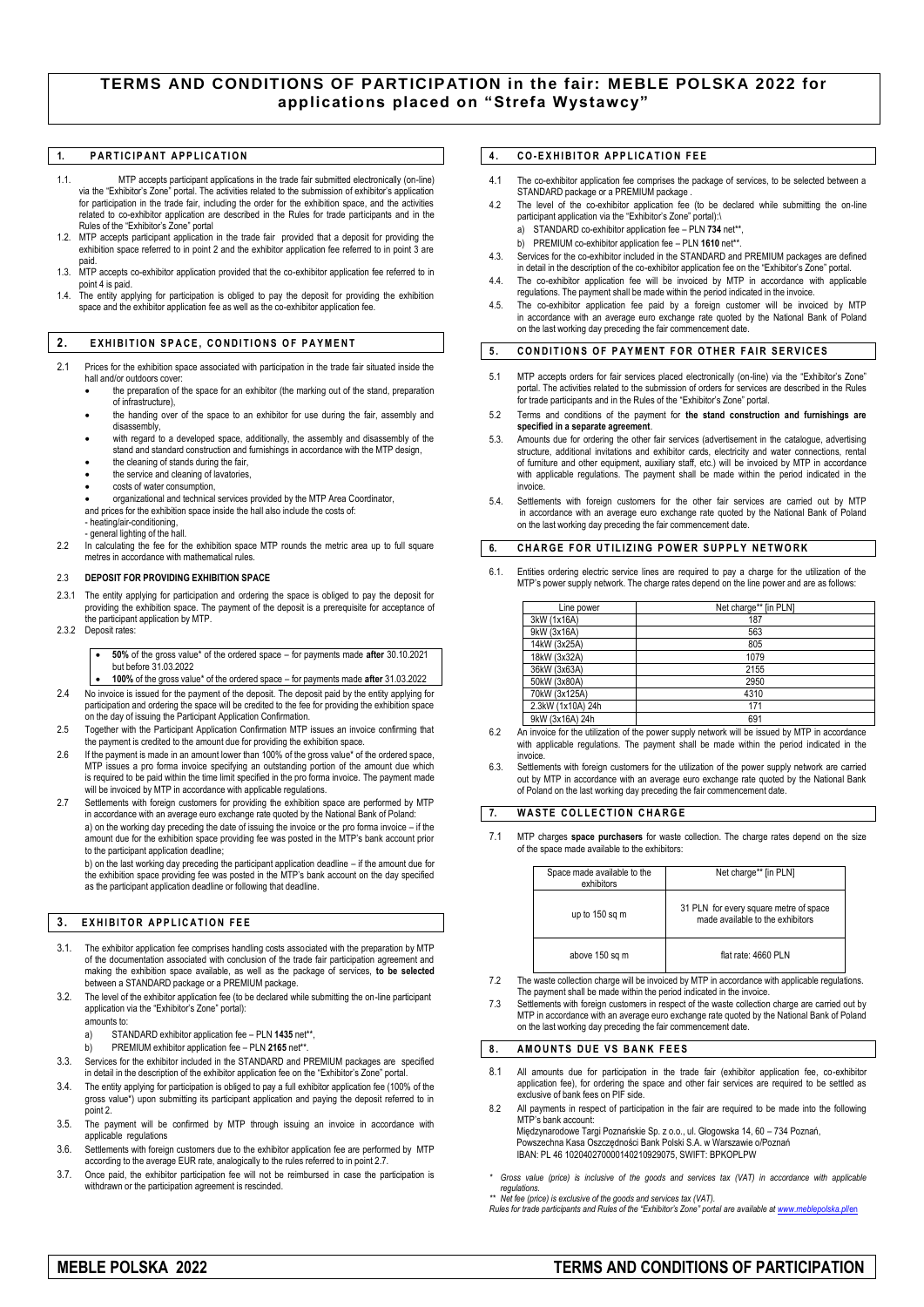# **TERMS AND CONDITIONS OF PARTICIPATION in the fair: MEBLE POLSKA 2022 for applications placed on "Strefa Wystawcy"**

## 1. **PARTICIPANT APPLICATION**

- 1.1. MTP accepts participant applications in the trade fair submitted electronically (on-line) via the "Exhibitor's Zone" portal. The activities related to the submission of exhibitor's application for participation in the trade fair, including the order for the exhibition space, and the activities related to co-exhibitor application are described in the Rules for trade participants and in the Rules of the "Exhibitor's Zone" portal
- 1.2. MTP accepts participant application in the trade fair provided that a deposit for providing the exhibition space referred to in point 2 and the exhibitor application fee referred to in point 3 are paid.
- 1.3. MTP accepts co-exhibitor application provided that the co-exhibitor application fee referred to in point 4 is paid.
- 1.4. The entity applying for participation is obliged to pay the deposit for providing the exhibition space and the exhibitor application fee as well as the co-exhibitor application fee.

#### **2. EXHIBITION SPACE, CONDITIONS OF PAYMENT**

- 2.1 Prices for the exhibition space associated with participation in the trade fair situated inside the hall and/or outdoors cover
	- the preparation of the space for an exhibitor (the marking out of the stand, preparation of infrastructure),
	- the handing over of the space to an exhibitor for use during the fair, assembly and disassembly,
	- with regard to a developed space, additionally, the assembly and disassembly of the stand and standard construction and furnishings in accordance with the MTP design,
	- the cleaning of stands during the fair,
	- the service and cleaning of lavatories,
	- costs of water consumption,
	- organizational and technical services provided by the MTP Area Coordinator, and prices for the exhibition space inside the hall also include the costs of:
	- heating/air-conditioning, - general lighting of the hall.
- 2.2 In calculating the fee for the exhibition space MTP rounds the metric area up to full square tres in accordance with mathematical rules

#### 2.3 **DEPOSIT FOR PROVIDING EXHIBITION SPACE**

- 2.3.1 The entity applying for participation and ordering the space is obliged to pay the deposit for providing the exhibition space. The payment of the deposit is a prerequisite for acceptance of the participant application by MTP.
- 2.3.2 Deposit rates:
	- **50%** of the gross value\* of the ordered space for payments made **after** 30.10.2021 but before 31.03.2022
- **100%** of the gross value\* of the ordered space for payments made **after** 31.03.2022 2.4 No invoice is issued for the payment of the deposit. The deposit paid by the entity applying for
- participation and ordering the space will be credited to the fee for providing the exhibition space on the day of issuing the Participant Application Confirmation.
- 2.5 Together with the Participant Application Confirmation MTP issues an invoice confirming that the payment is credited to the amount due for providing the exhibition space.
- 2.6 If the payment is made in an amount lower than 100% of the gross value\* of the ordered space, MTP issues a pro forma invoice specifying an outstanding portion of the amount due which is required to be paid within the time limit specified in the pro forma invoice. The payment made will be invoiced by MTP in accordance with applicable regulations.
- 2.7 Settlements with foreign customers for providing the exhibition space are performed by MTF in accordance with an average euro exchange rate quoted by the National Bank of Poland: a) on the working day preceding the date of issuing the invoice or the pro forma invoice – if the amount due for the exhibition space providing fee was posted in the MTP's bank account prior to the participant application deadline;

b) on the last working day preceding the participant application deadline – if the amount due for the exhibition space providing fee was posted in the MTP's bank account on the day specified as the participant application deadline or following that deadline.

## **3. EXHIBITOR APPLICATION FEE**

- 3.1. The exhibitor application fee comprises handling costs associated with the preparation by MTP of the documentation associated with conclusion of the trade fair participation agreement and making the exhibition space available, as well as the package of services, **to be selected** between a STANDARD package or a PREMIUM package.
- 3.2. The level of the exhibitor application fee (to be declared while submitting the on-line participant application via the "Exhibitor's Zone" portal):
	- amounts to:
	- a) STANDARD exhibitor application fee PLN **1435** net\*\*,
		- b) PREMIUM exhibitor application fee PLN **2165** net\*\*.
- 3.3. Services for the exhibitor included in the STANDARD and PREMIUM packages are specified in detail in the description of the exhibitor application fee on the "Exhibitor's Zone" portal.
- 3.4. The entity applying for participation is obliged to pay a full exhibitor application fee (100% of the gross value\*) upon submitting its participant application and paying the deposit referred to in point 2.
- 3.5. The payment will be confirmed by MTP through issuing an invoice in accordance with applicable regulations
- 3.6. Settlements with foreign customers due to the exhibitor application fee are performed by MTP according to the average EUR rate, analogically to the rules referred to in point 2.7.
- 3.7. Once paid, the exhibitor participation fee will not be reimbursed in case the participation is withdrawn or the participation agreement is rescinded

## **4 . C O- E X H I B I T O R A P P L I C A T I O N F E E**

- 4.1 The co-exhibitor application fee comprises the package of services, to be selected between a STANDARD package or a PREMIUM package .
- 4.2 The level of the co-exhibitor application fee (to be declared while submitting the on-line participant application via the "Exhibitor's Zone" portal):\
	- a) STANDARD co-exhibitor application fee PLN **734** net\*\*,
- b) PREMIUM co-exhibitor application fee PLN 1610 net\*\*
- 4.3. Services for the co-exhibitor included in the STANDARD and PREMIUM packages are defined in detail in the description of the co-exhibitor application fee on the "Exhibitor's Zone" portal.
- 4.4. The co-exhibitor application fee will be invoiced by MTP in accordance with applicable regulations. The payment shall be made within the period indicated in the invoice.
- 4.5. The co-exhibitor application fee paid by a foreign customer will be invoiced by MTP in accordance with an average euro exchange rate quoted by the National Bank of Poland on the last working day preceding the fair commencement date.

# **5. CONDITIONS OF PAYMENT FOR OTHER FAIR SERVICES**

- 5.1 MTP accepts orders for fair services placed electronically (on-line) via the "Exhibitor's Zone" portal. The activities related to the submission of orders for services are described in the Rules for trade participants and in the Rules of the "Exhibitor's Zone" portal.
- 5.2 Terms and conditions of the payment for **the stand construction and furnishings are specified in a separate agreement**.
- Amounts due for ordering the other fair services (advertisement in the catalogue, advertising structure, additional invitations and exhibitor cards, electricity and water connections, rental of furniture and other equipment, auxiliary staff, etc.) will be invoiced by MTP in accordance with applicable regulations. The payment shall be made within the period indicated in the .<br>hwnice
- 5.4. Settlements with foreign customers for the other fair services are carried out by MTP in accordance with an average euro exchange rate quoted by the National Bank of Poland on the last working day preceding the fair commencement date.

## **6. CHARGE FOR UTILIZING POWER SUPPLY NETWORK**

6.1. Entities ordering electric service lines are required to pay a charge for the utilization of the MTP's power supply network. The charge rates depend on the line power and are as follows:

| Line power        | Net charge** [in PLN] |
|-------------------|-----------------------|
| 3kW (1x16A)       | 187                   |
| 9kW (3x16A)       | 563                   |
| 14kW (3x25A)      | 805                   |
| 18kW (3x32A)      | 1079                  |
| 36kW (3x63A)      | 2155                  |
| 50kW (3x80A)      | 2950                  |
| 70kW (3x125A)     | 4310                  |
| 2.3kW (1x10A) 24h | 171                   |
| 9kW (3x16A) 24h   | 691                   |

- 6.2 An invoice for the utilization of the power supply network will be issued by MTP in accordance with applicable regulations. The payment shall be made within the period indicated in the invoice.
- 6.3. Settlements with foreign customers for the utilization of the power supply network are carried out by MTP in accordance with an average euro exchange rate quoted by the National Bank of Poland on the last working day preceding the fair commencement date.

## **7.** WASTE COLLECTION CHARGE

7.1 MTP charges **space purchasers** for waste collection. The charge rates depend on the size of the space made available to the exhibitors:

| Space made available to the<br>exhibitors | Net charge** [in PLN]                                                      |
|-------------------------------------------|----------------------------------------------------------------------------|
| up to 150 sq m                            | 31 PLN for every square metre of space<br>made available to the exhibitors |
| above 150 sq m                            | flat rate: 4660 PLN                                                        |

- 7.2 The waste collection charge will be invoiced by MTP in accordance with applicable regulations. The payment shall be made within the period indicated in the invoice.
- 7.3 Settlements with foreign customers in respect of the waste collection charge are carried out by MTP in accordance with an average euro exchange rate quoted by the National Bank of Poland on the last working day preceding the fair commencement date.

## 8. AMOUNTS DUE VS BANK FEES

- All amounts due for participation in the trade fair (exhibitor application fee, co-exhibitor application fee), for ordering the space and other fair services are required to be settled as exclusive of bank fees on PIF side.
- 8.2 All payments in respect of participation in the fair are required to be made into the following MTP's bank account Międzynarodowe Targi Poznańskie Sp. z o.o., ul. Głogowska 14, 60 – 734 Poznań, Powszechna Kasa Oszczędności Bank Polski S.A. w Warszawie o/Poznań

IBAN: PL 46 102040270000140210929075, SWIFT: BPKOPLPW

*Gross value (price) is inclusive of the goods and services tax (VAT) in accordance with applicable* 

*regulations. \*\* Net fee (price) is exclusive of the goods and services tax (VAT).*

*Rules for trade participants and Rules of the "Exhibitor's Zone" portal are available a[t www.meblepolska.pl](http://www.meblepolska.pl/en)*/en

# **MEBLE POLSKA 2022 TERMS AND CONDITIONS OF PARTICIPATION**